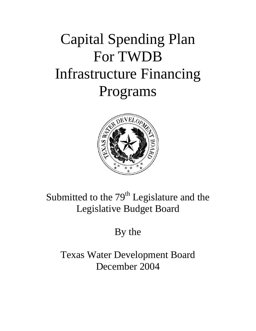# Capital Spending Plan For TWDB Infrastructure Financing Programs



# Submitted to the  $79<sup>th</sup>$  Legislature and the Legislative Budget Board

# By the

Texas Water Development Board December 2004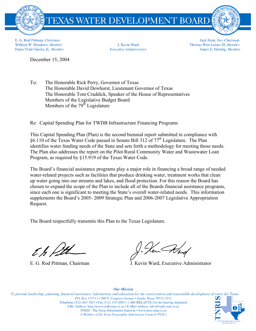

E. G. Rod Pittman, Chairman William W. Meadows, Member Dario Vidal Guerra, Jr., Member

J. Kevin Ward **Executive Administrator** 

Jack Hunt, Vice Chairman Thomas Weir Labatt III, Member James E. Herring, Member

December 15, 2004

To: The Honorable Rick Perry, Governor of Texas The Honorable David Dewhurst, Lieutenant Governor of Texas The Honorable Tom Craddick, Speaker of the House of Representatives Members of the Legislative Budget Board Members of the 79<sup>th</sup> Legislature

Re: Capital Spending Plan for TWDB Infrastructure Financing Programs

This Capital Spending Plan (Plan) is the second biennial report submitted in compliance with §6.110 of the Texas Water Code passed in Senate Bill 312 of  $77<sup>th</sup>$  Legislature. The Plan identifies water funding needs of the State and sets forth a methodology for meeting those needs. The Plan also addresses the report on the Pilot Rural Community Water and Wastewater Loan Program, as required by §15.919 of the Texas Water Code.

The Board's financial assistance programs play a major role in financing a broad range of needed water-related projects such as facilities that produce drinking water, treatment works that clean up water going into our streams and lakes, and flood protection. For this reason the Board has chosen to expand the scope of the Plan to include all of the Boards financial assistance programs, since each one is significant to meeting the State's overall water-related needs. This information supplements the Board's 2005- 2009 Strategic Plan and 2006-2007 Legislative Appropriation Request.

The Board respectfully transmits this Plan to the Texas Legislature.

t h fitt

E. G. Rod Pittman, Chairman J. Kevin Ward, Executive Administrator

To provide leadership, planning, financial assistance, information, and education for the conservation and responsible development of water for Texas. P.O. Box 13231 • 1700 N. Congress Avenue • Austin, Texas 78711-3231 Telephone (512) 463-7847 • Fax (512) 475-2053 • 1-800-RELAYTX (for the hearing impaired) URL Address: http://www.twdb.state.tx.us • E-Mail Address: info@twdb.state.tx.us TNRIS - The Texas Information Gateway • www.tnris.state.tx.us A Member of the Texas Geographic Information Council (TGIC)

#### **Our Mission**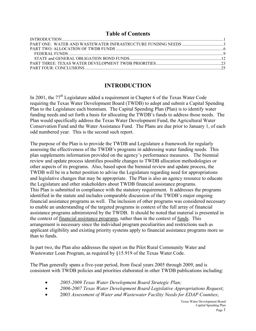#### **Table of Contents**

### **INTRODUCTION**

In 2001, the  $77<sup>th</sup>$  Legislature added a requirement in Chapter 6 of the Texas Water Code requiring the Texas Water Development Board (TWDB) to adopt and submit a Capital Spending Plan to the Legislature each biennium. The Capital Spending Plan (Plan) is to identify water funding needs and set forth a basis for allocating the TWDB's funds to address those needs. The Plan would specifically address the Texas Water Development Fund, the Agricultural Water Conservation Fund and the Water Assistance Fund. The Plans are due prior to January 1, of each odd numbered year. This is the second such report.

The purpose of the Plan is to provide the TWDB and Legislature a framework for regularly assessing the effectiveness of the TWDB's programs in addressing water funding needs. This plan supplements information provided on the agency's performance measures. The biennial review and update process identifies possible changes to TWDB allocation methodologies or other aspects of its programs. Also, based upon the biennial review and update process, the TWDB will be in a better position to advise the Legislature regarding need for appropriations and legislative changes that may be appropriate. The Plan is also an agency resource to educate the Legislature and other stakeholders about TWDB financial assistance programs. This Plan is submitted in compliance with the statutory requirement. It addresses the programs identified in the statute and includes comparable discussion of the TWDB's major ongoing financial assistance programs as well. The inclusion of other programs was considered necessary to enable an understanding of the targeted programs in context of the full array of financial assistance programs administered by the TWDB. It should be noted that material is presented in the context of financial assistance programs, rather than in the context of funds. This arrangement is necessary since the individual program peculiarities and restrictions such as applicant eligibility and existing priority systems apply to financial assistance programs more so than to funds.

In part two, the Plan also addresses the report on the Pilot Rural Community Water and Wastewater Loan Program, as required by §15.919 of the Texas Water Code.

The Plan generally spans a five-year period, from fiscal years 2005 through 2009, and is consistent with TWDB policies and priorities elaborated in other TWDB publications including:

- *2005-2009 Texas Water Development Board Strategic Plan;*
- *2006-2007 Texas Water Development Board Legislative Appropriations Request*;
- 2003 *Assessment of Water and Wastewater Facility Needs for EDAP Counties*;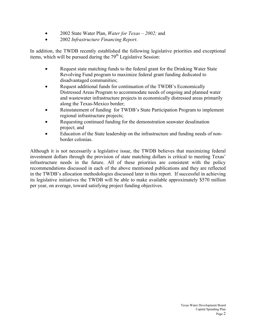- 2002 State Water Plan, *Water for Texas 2002;* and
- 2002 *Infrastructure Financing Report*.

In addition, the TWDB recently established the following legislative priorities and exceptional items, which will be pursued during the 79<sup>th</sup> Legislative Session:

- Request state matching funds to the federal grant for the Drinking Water State Revolving Fund program to maximize federal grant funding dedicated to disadvantaged communities;
- Request additional funds for continuation of the TWDB's Economically Distressed Areas Program to accommodate needs of ongoing and planned water and wastewater infrastructure projects in economically distressed areas primarily along the Texas-Mexico border;
- Reinstatement of funding for TWDB's State Participation Program to implement regional infrastructure projects;
- Requesting continued funding for the demonstration seawater desalination project; and
- Education of the State leadership on the infrastructure and funding needs of nonborder colonias.

Although it is not necessarily a legislative issue, the TWDB believes that maximizing federal investment dollars through the provision of state matching dollars is critical to meeting Texas' infrastructure needs in the future. All of these priorities are consistent with the policy recommendations discussed in each of the above mentioned publications and they are reflected in the TWDB's allocation methodologies discussed later in this report. If successful in achieving its legislative initiatives the TWDB will be able to make available approximately \$570 million per year, on average, toward satisfying project funding objectives.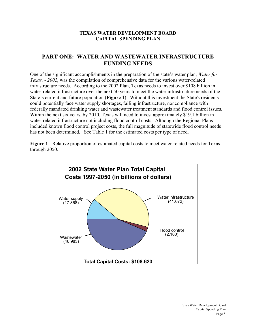#### **TEXAS WATER DEVELOPMENT BOARD CAPITAL SPENDING PLAN**

## **PART ONE: WATER AND WASTEWATER INFRASTRUCTURE FUNDING NEEDS**

One of the significant accomplishments in the preparation of the state's water plan, *Water for Texas, - 2002*, was the compilation of comprehensive data for the various water-related infrastructure needs. According to the 2002 Plan, Texas needs to invest over \$108 billion in water-related infrastructure over the next 50 years to meet the water infrastructure needs of the State's current and future population (**Figure 1**). Without this investment the State's residents could potentially face water supply shortages, failing infrastructure, noncompliance with federally mandated drinking water and wastewater treatment standards and flood control issues. Within the next six years, by 2010, Texas will need to invest approximately \$19.1 billion in water-related infrastructure not including flood control costs. Although the Regional Plans included known flood control project costs, the full magnitude of statewide flood control needs has not been determined. See Table 1 for the estimated costs per type of need.

**Figure 1** - Relative proportion of estimated capital costs to meet water-related needs for Texas through 2050.

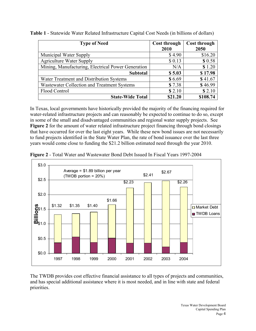| <b>Type of Need</b>                                | <b>Cost through</b> | <b>Cost through</b> |  |
|----------------------------------------------------|---------------------|---------------------|--|
|                                                    | 2010                | 2050                |  |
| Municipal Water Supply                             | \$4.90              | \$16.20             |  |
| <b>Agriculture Water Supply</b>                    | \$0.13              | \$0.58              |  |
| Mining, Manufacturing, Electrical Power Generation | N/A                 | \$1.20              |  |
| <b>Subtotal</b>                                    | \$5.03              | \$17.98             |  |
| Water Treatment and Distribution Systems           | \$6.69              | \$41.67             |  |
| Wastewater Collection and Treatment Systems        | \$7.38              | \$46.99             |  |
| Flood Control                                      | \$2.10              | \$2.10              |  |
| <b>State-Wide Total</b>                            | \$21.20             | \$108.74            |  |

**Table 1** - Statewide Water Related Infrastructure Capital Cost Needs (in billions of dollars)

In Texas, local governments have historically provided the majority of the financing required for water-related infrastructure projects and can reasonably be expected to continue to do so, except in some of the small and disadvantaged communities and regional water supply projects. See **Figure 2** for the amount of water related infrastructure project financing through bond closings that have occurred for over the last eight years. While these new bond issues are not necessarily to fund projects identified in the State Water Plan, the rate of bond issuance over the last three years would come close to funding the \$21.2 billion estimated need through the year 2010.



**Figure 2** - Total Water and Wastewater Bond Debt Issued In Fiscal Years 1997-2004

The TWDB provides cost effective financial assistance to all types of projects and communities, and has special additional assistance where it is most needed, and in line with state and federal priorities.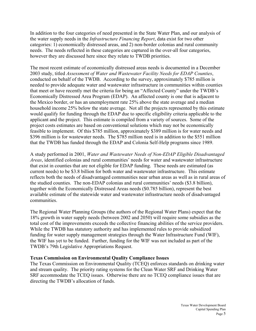In addition to the four categories of need presented in the State Water Plan, and our analysis of the water supply needs in the *Infrastructure Financing Report*, data exist for two other categories: 1) economically distressed areas, and 2) non-border colonias and rural community needs. The needs reflected in these categories are captured in the over-all four categories, however they are discussed here since they relate to TWDB priorities.

The most recent estimate of economically distressed areas needs is documented in a December 2003 study, titled *Assessment of Water and Wastewater Facility Needs for EDAP Counties*, conducted on behalf of the TWDB. According to the survey, approximately \$785 million is needed to provide adequate water and wastewater infrastructure in communities within counties that meet or have recently met the criteria for being an "Affected County" under the TWDB's Economically Distressed Area Program (EDAP). An affected county is one that is adjacent to the Mexico border, or has an unemployment rate 25% above the state average and a median household income 25% below the state average. Not all the projects represented by this estimate would qualify for funding through the EDAP due to specific eligibility criteria applicable to the applicant and the project. This estimate is compiled from a variety of sources. Some of the project costs estimates are based on conventional solutions which may not be economically feasible to implement. Of this \$785 million, approximately \$389 million is for water needs and \$396 million is for wastewater needs. The \$785 million need is in addition to the \$551 million that the TWDB has funded through the EDAP and Colonia Self-Help programs since 1989.

A study performed in 2001, *Water and Wastewater Needs of Non-EDAP Eligible Disadvantaged Areas*, identified colonias and rural communities' needs for water and wastewater infrastructure that exist in counties that are not eligible for EDAP funding. These needs are estimated (as current needs) to be \$3.8 billion for both water and wastewater infrastructure. This estimate reflects both the needs of disadvantaged communities near urban areas as well as in rural areas of the studied counties. The non-EDAP colonias and rural communities' needs (\$3.8 billion), together with the Economically Distressed Areas needs (\$0.785 billion), represent the best available estimate of the statewide water and wastewater infrastructure needs of disadvantaged communities.

The Regional Water Planning Groups (the authors of the Regional Water Plans) expect that the 18% growth in water supply needs (between 2002 and 2050) will require some subsidies as the total cost of the improvements exceeds the collective financing abilities of the service providers. While the TWDB has statutory authority and has implemented rules to provide subsidized funding for water supply management strategies through the Water Infrastructure Fund (WIF), the WIF has yet to be funded. Further, funding for the WIF was not included as part of the TWDB's 79th Legislative Appropriations Request.

#### **Texas Commission on Environmental Quality Compliance Issues**

The Texas Commission on Environmental Quality (TCEQ) enforces standards on drinking water and stream quality. The priority rating systems for the Clean Water SRF and Drinking Water SRF accommodate the TCEQ issues. Otherwise there are no TCEQ compliance issues that are directing the TWDB's allocation of funds.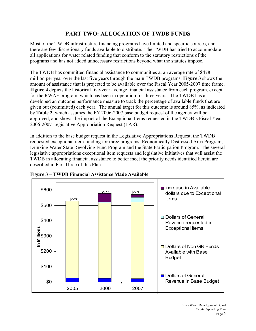# **PART TWO: ALLOCATION OF TWDB FUNDS**

Most of the TWDB infrastructure financing programs have limited and specific sources, and there are few discretionary funds available to distribute. The TWDB has tried to accommodate all applications for water related funding that conform to the statutory restrictions of the programs and has not added unnecessary restrictions beyond what the statutes impose.

The TWDB has committed financial assistance to communities at an average rate of \$478 million per year over the last five years through the main TWDB programs. **Figure 3** shows the amount of assistance that is projected to be available over the Fiscal Year 2005-2007 time frame. **Figure 4** depicts the historical five-year average financial assistance from each program, except for the RWAF program, which has been in operation for three years. The TWDB has a developed an outcome performance measure to track the percentage of available funds that are given out (committed) each year. The annual target for this outcome is around 85%, as indicated by **Table 2**, which assumes the FY 2006-2007 base budget request of the agency will be approved, and shows the impact of the Exceptional Items requested in the TWDB's Fiscal Year 2006-2007 Legislative Appropriation Request (LAR).

In addition to the base budget request in the Legislative Appropriations Request, the TWDB requested exceptional item funding for three programs; Economically Distressed Area Program, Drinking Water State Revolving Fund Program and the State Participation Program. The several legislative appropriations exceptional item requests and legislative initiatives that will assist the TWDB in allocating financial assistance to better meet the priority needs identified herein are described in Part Three of this Plan.



**Figure 3 – TWDB Financial Assistance Made Available**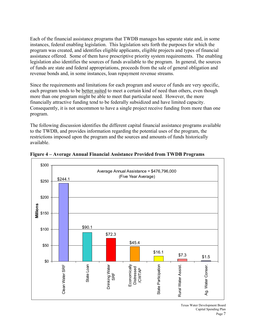Each of the financial assistance programs that TWDB manages has separate state and, in some instances, federal enabling legislation. This legislation sets forth the purposes for which the program was created, and identifies eligible applicants, eligible projects and types of financial assistance offered. Some of them have prescriptive priority system requirements. The enabling legislation also identifies the sources of funds available to the program. In general, the sources of funds are state and federal appropriations, proceeds from the sale of general obligation and revenue bonds and, in some instances, loan repayment revenue streams.

Since the requirements and limitations for each program and source of funds are very specific, each program tends to be better suited to meet a certain kind of need than others, even though more than one program might be able to meet that particular need. However, the more financially attractive funding tend to be federally subsidized and have limited capacity. Consequently, it is not uncommon to have a single project receive funding from more than one program.

The following discussion identifies the different capital financial assistance programs available to the TWDB, and provides information regarding the potential uses of the program, the restrictions imposed upon the program and the sources and amounts of funds historically available.



**Figure 4 – Average Annual Financial Assistance Provided from TWDB Programs**

Texas Water Development Board Capital Spending Plan Page 7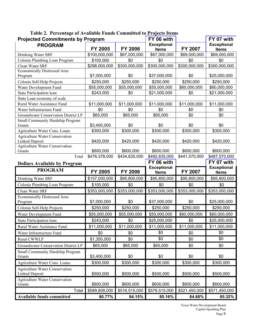| <b>Projected Commitments by Program</b>    |                         |                         | FY 06 with                         |                         | FY 07 with                         |
|--------------------------------------------|-------------------------|-------------------------|------------------------------------|-------------------------|------------------------------------|
| <b>PROGRAM</b>                             | FY 2005                 | <b>FY 2006</b>          | <b>Exceptional</b><br><b>Items</b> | FY 2007                 | <b>Exceptional</b><br><b>Items</b> |
| Drinking Water SRF                         | \$100,000,000           | \$67,000,000            | \$67,000,000                       | \$69,000,000            | \$69,000,000                       |
| Colonia Plumbing Loan Program              | \$100,000               | \$0                     | \$0                                | \$0                     | \$0                                |
| Clean Water SRF                            | \$298,000,000           | \$300,000,000           | \$300,000,000                      | \$300,000,000           | \$300,000,000                      |
| <b>Economically Distressed Area</b>        |                         |                         |                                    |                         |                                    |
| Program                                    | \$7,000,000             | \$0                     | \$37,000,000                       | \$0                     | \$25,000,000                       |
| Colonia Self-Help Projects                 | \$250,000               | \$250,000               | \$250,000                          | \$250,000               | \$250,000                          |
| Water Development Fund                     | \$55,000,000            | \$55,000,000            | \$55,000,000                       | \$60,000,000            | \$60,000,000                       |
| State Participation loan                   | \$243,000               | \$0                     | \$21,000,000                       | \$0                     | \$21,000,000                       |
| State Loan economy of scale                |                         |                         |                                    |                         |                                    |
| Rural Water Assistance Fund                | \$11,000,000            | \$11,000,000            | \$11,000,000                       | \$11,000,000            | \$11,000,000                       |
| Water Infrastructure Fund                  | \$0                     | \$0                     | \$0                                | \$0                     | \$0                                |
| Groundwater Conservation District LP       | \$65,000                | \$65,000                | \$65,000                           | \$0                     | \$0                                |
| Small Community Hardship Program<br>Grants | \$3,400,000             | \$0                     | \$0                                | \$0                     | \$0                                |
| Agriculture Water Cons. Loans              | \$300,000               | \$300,000               | \$300,000                          | \$300,000               | \$300,000                          |
| <b>Agriculture Water Conservation</b>      |                         |                         |                                    |                         |                                    |
| <b>Linked Deposit</b>                      | \$420,000               | \$420,000               | \$420,000                          | \$420,000               | \$420,000                          |
| Agriculture Water Conservation.            |                         |                         |                                    |                         |                                    |
| Grants                                     | \$600,000               | \$600,000               | \$600,000                          | \$600,000               | \$600,000                          |
| Total                                      | \$476,378,000           | \$434,635,000           | \$492,635,000                      | \$441,570,000           | \$487,570,000                      |
| <b>Dollars Available by Program</b>        |                         |                         | FY 06 with                         |                         | FY 07 with                         |
|                                            |                         |                         |                                    |                         |                                    |
| <b>PROGRAM</b>                             | <b>FY 2005</b>          | <b>FY 2006</b>          | <b>Exceptional</b><br><b>Items</b> | FY 2007                 | <b>Exceptional</b><br><b>Items</b> |
| Drinking Water SRF                         | \$157,000,000           | \$95,800,000            | \$95,800,000                       | \$95,800,000            | \$95,800,000                       |
| Colonia Plumbing Loan Program              | \$100,000               | \$0                     | \$0                                | \$0                     | \$0                                |
| Clean Water SRF                            | \$353,000,000           | \$353,000,000           | \$353,000,000                      | \$353,000,000           | \$353,000,000                      |
| <b>Economically Distressed Area</b>        |                         |                         |                                    |                         |                                    |
| Program                                    | \$7,000,000             | \$0                     | \$37,000,000                       | \$0                     | \$25,000,000                       |
| Colonia Self-Help Projects                 | \$250,000               | \$250,000               | \$250,000                          | \$250,000               | \$250,000                          |
| Water Development Fund                     | \$55,000,000            | \$55,000,000            | \$55,000,000                       | \$60,000,000            | \$60,000,000                       |
| State Participation loan                   | \$243,000               | \$0                     | \$25,000,000                       | \$0                     | \$25,000,000                       |
| Rural Water Assistance Fund                | \$11,000,000            | \$11,000,000            | \$11,000,000                       | \$11,000,000            | \$11,000,000                       |
| Water Infrastructure Fund                  | \$0                     | \$0                     | \$0                                | \$0                     | \$0                                |
| Rural CWWLP                                | \$1,350,000             | \$0                     | \$0                                | \$0                     | \$0                                |
| Groundwater Conservation District LP       | \$65,000                | \$65,000                | \$65,000                           | \$0                     | \$0                                |
| Small Community Hardship Program           |                         |                         |                                    |                         |                                    |
| Grants                                     | \$3,400,000             | \$0                     | \$0                                | \$0                     | \$0                                |
| Agriculture Water Cons. Loans              | \$300,000               | \$300,000               | \$300,000                          | \$300,000               | \$300,000                          |
| <b>Agriculture Water Conservation</b>      |                         |                         |                                    |                         |                                    |
| <b>Linked Deposit</b>                      | \$500,000               | \$500,000               | \$500,000                          | \$500,000               | \$500,000                          |
| <b>Agriculture Water Conservation</b>      |                         |                         |                                    |                         |                                    |
| Grants                                     | \$600,000               | \$600,000               | \$600,000                          | \$600,000               | \$600,000                          |
| Total<br><b>Available funds committed</b>  | \$589,808,000<br>80.77% | \$516,515,000<br>84.15% | \$578,515,000<br>85.16%            | \$521,450,000<br>84.68% | \$571,450,000<br>85.32%            |

**Table 2. Percentage of Available Funds Committed to Projects Items**

Texas Water Development Board Capital Spending Plan Page 8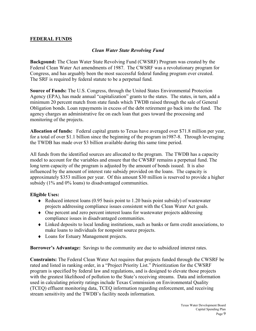#### **FEDERAL FUNDS**

#### *Clean Water State Revolving Fund*

**Backgound:** The Clean Water State Revolving Fund (CWSRF) Program was created by the Federal Clean Water Act amendments of 1987. The CWSRF was a revolutionary program for Congress, and has arguably been the most successful federal funding program ever created. The SRF is required by federal statute to be a perpetual fund.

**Source of Funds:** The U.S. Congress, through the United States Environmental Protection Agency (EPA), has made annual "capitalization" grants to the states. The states, in turn, add a minimum 20 percent match from state funds which TWDB raised through the sale of General Obligation bonds. Loan repayments in excess of the debt retirement go back into the fund. The agency charges an administrative fee on each loan that goes toward the processing and monitoring of the projects.

**Allocation of funds:** Federal capital grants to Texas have averaged over \$71.8 million per year, for a total of over \$1.1 billion since the beginning of the program in1987-8. Through leveraging the TWDB has made over \$3 billion available during this same time period.

All funds from the identified sources are allocated to the program. The TWDB has a capacity model to account for the variables and ensure that the CWSRF remains a perpetual fund. The long term capacity of the program is adjusted by the amount of bonds issued. It is also influenced by the amount of interest rate subsidy provided on the loans. The capacity is approximately \$353 million per year. Of this amount \$30 million is reserved to provide a higher subsidy (1% and 0% loans) to disadvantaged communities.

#### **Eligible Uses:**

- $\triangle$  Reduced interest loans (0.95 basis point to 1.20 basis point subsidy) of wastewater projects addressing compliance issues consistent with the Clean Water Act goals.
- ♦ One percent and zero percent interest loans for wastewater projects addressing compliance issues in disadvantaged communities.
- ♦ Linked deposits to local lending institutions, such as banks or farm credit associations, to make loans to individuals for nonpoint source projects.
- ♦ Loans for Estuary Management projects.

**Borrower's Advantage:** Savings to the community are due to subsidized interest rates.

**Constraints:** The Federal Clean Water Act requires that projects funded through the CWSRF be rated and listed in ranking order, in a "Project Priority List." Prioritization for the CWSRF program is specified by federal law and regulations, and is designed to elevate those projects with the greatest likelihood of pollution to the State's receiving streams. Data and information used in calculating priority ratings include Texas Commission on Environmental Quality (TCEQ) effluent monitoring data, TCEQ information regarding enforcement, and receiving stream sensitivity and the TWDB's facility needs information.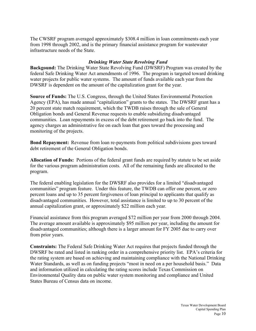The CWSRF program averaged approximately \$308.4 million in loan commitments each year from 1998 through 2002, and is the primary financial assistance program for wastewater infrastructure needs of the State.

#### *Drinking Water State Revolving Fund*

**Backgound:** The Drinking Water State Revolving Fund (DWSRF) Program was created by the federal Safe Drinking Water Act amendments of 1996. The program is targeted toward drinking water projects for public water systems. The amount of funds available each year from the DWSRF is dependent on the amount of the capitalization grant for the year.

**Source of Funds:** The U.S. Congress, through the United States Environmental Protection Agency (EPA), has made annual "capitalization" grants to the states. The DWSRF grant has a 20 percent state match requirement, which the TWDB raises through the sale of General Obligation bonds and General Revenue requests to enable subsidizing disadvantaged communities. Loan repayments in excess of the debt retirement go back into the fund. The agency charges an administrative fee on each loan that goes toward the processing and monitoring of the projects.

**Bond Repayment:** Revenue from loan re-payments from political subdivisions goes toward debt retirement of the General Obligation bonds.

**Allocation of Funds:** Portions of the federal grant funds are required by statute to be set aside for the various program administration costs. All of the remaining funds are allocated to the program.

The federal enabling legislation for the DWSRF also provides for a limited "disadvantaged communities" program feature. Under this feature, the TWDB can offer one percent, or zero percent loans and up to 35 percent forgiveness of loan principal to applicants that qualify as disadvantaged communities. However, total assistance is limited to up to 30 percent of the annual capitalization grant, or approximately \$22 million each year.

Financial assistance from this program averaged \$72 million per year from 2000 through 2004. The average amount available is approximately \$95 million per year, including the amount for disadvantaged communities; although there is a larger amount for FY 2005 due to carry over from prior years.

**Constraints:** The Federal Safe Drinking Water Act requires that projects funded through the DWSRF be rated and listed in ranking order in a comprehensive priority list. EPA's criteria for the rating system are based on achieving and maintaining compliance with the National Drinking Water Standards, as well as on funding projects "most in need on a per household basis." Data and information utilized in calculating the rating scores include Texas Commission on Environmental Quality data on public water system monitoring and compliance and United States Bureau of Census data on income.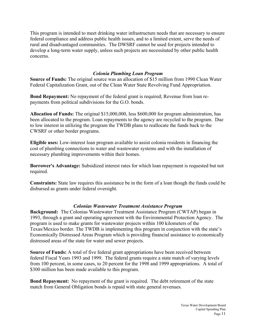This program is intended to meet drinking water infrastructure needs that are necessary to ensure federal compliance and address public health issues, and to a limited extent, serve the needs of rural and disadvantaged communities. The DWSRF cannot be used for projects intended to develop a long-term water supply, unless such projects are necessitated by other public health concerns.

#### *Colonia Plumbing Loan Program*

**Source of Funds:** The original source was an allocation of \$15 million from 1990 Clean Water Federal Capitalization Grant, out of the Clean Water State Revolving Fund Appropriation.

**Bond Repayment:** No repayment of the federal grant is required; Revenue from loan repayments from political subdivisions for the G.O. bonds.

**Allocation of Funds:** The original \$15,000,000, less \$600,000 for program administration, has been allocated to the program. Loan repayments to the agency are recycled to the program. Due to low interest in utilizing the program the TWDB plans to reallocate the funds back to the CWSRF or other border programs.

**Eligible uses:** Low-interest loan program available to assist colonia residents in financing the cost of plumbing connections to water and wastewater systems and with the installation of necessary plumbing improvements within their homes.

**Borrower's Advantage:** Subsidized interest rates for which loan repayment is requested but not required.

**Constraints:** State law requires this assistance be in the form of a loan though the funds could be disbursed as grants under federal oversight.

#### *Colonias Wastewater Treatment Assistance Program*

**Background:** The Colonias Wastewater Treatment Assistance Program (CWTAP) began in 1993, through a grant and operating agreement with the Environmental Protection Agency. The program is used to make grants for wastewater projects within 100 kilometers of the Texas/Mexico border. The TWDB is implementing this program in conjunction with the state's Economically Distressed Areas Program which is providing financial assistance to economically distressed areas of the state for water and sewer projects.

**Source of Funds:** A total of five federal grant appropriations have been received between federal Fiscal Years 1993 and 1999. The federal grants require a state match of varying levels from 100 percent, in some cases, to 20 percent for the 1998 and 1999 appropriations. A total of \$300 million has been made available to this program.

**Bond Repayment:** No repayment of the grant is required. The debt retirement of the state match from General Obligation bonds is repaid with state general revenues.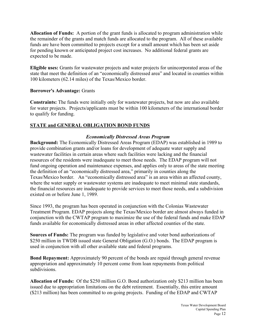**Allocation of Funds:** A portion of the grant funds is allocated to program administration while the remainder of the grants and match funds are allocated to the program. All of these available funds are have been committed to projects except for a small amount which has been set aside for pending known or anticipated project cost increases. No additional federal grants are expected to be made.

**Eligible uses:** Grants for wastewater projects and water projects for unincorporated areas of the state that meet the definition of an "economically distressed area" and located in counties within 100 kilometers (62.14 miles) of the Texas/Mexico border.

#### **Borrower's Advantage:** Grants

**Constraints:** The funds were initially only for wastewater projects, but now are also available for water projects. Projects/applicants must be within 100 kilometers of the international border to qualify for funding.

#### **STATE and GENERAL OBLIGATION BOND FUNDS**

#### *Economically Distressed Areas Program*

**Background:** The Economically Distressed Areas Program (EDAP) was established in 1989 to provide combination grants and/or loans for development of adequate water supply and wastewater facilities in certain areas where such facilities were lacking and the financial resources of the residents were inadequate to meet those needs. The EDAP program will not fund ongoing operation and maintenance expenses, and applies only to areas of the state meeting the definition of an "economically distressed area," primarily in counties along the Texas/Mexico border. An "economically distressed area" is an area within an affected county, where the water supply or wastewater systems are inadequate to meet minimal state standards, the financial resources are inadequate to provide services to meet those needs, and a subdivision existed on or before June 1, 1989.

Since 1993, the program has been operated in conjunction with the Colonias Wastewater Treatment Program. EDAP projects along the Texas/Mexico border are almost always funded in conjunction with the CWTAP program to maximize the use of the federal funds and make EDAP funds available for economically distressed areas in other affected counties of the state.

**Sources of Funds:** The program was funded by legislative and voter bond authorizations of \$250 million in TWDB issued state General Obligation (G.O.) bonds. The EDAP program is used in conjunction with all other available state and federal programs.

**Bond Repayment:** Approximately 90 percent of the bonds are repaid through general revenue appropriation and approximately 10 percent come from loan repayments from political subdivisions.

**Allocation of Funds:** Of the \$250 million G.O. Bond authorization only \$213 million has been issued due to appropriation limitations on the debt retirement. Essentially, this entire amount (\$213 million) has been committed to on-going projects. Funding of the EDAP and CWTAP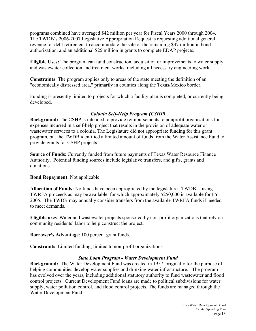programs combined have averaged \$42 million per year for Fiscal Years 2000 through 2004. The TWDB's 2006-2007 Legislative Appropriation Request is requesting additional general revenue for debt retirement to accommodate the sale of the remaining \$37 million in bond authorization, and an additional \$25 million in grants to complete EDAP projects.

**Eligible Uses:** The program can fund construction, acquisition or improvements to water supply and wastewater collection and treatment works, including all necessary engineering work.

**Constraints**: The program applies only to areas of the state meeting the definition of an "economically distressed area," primarily in counties along the Texas/Mexico border.

Funding is presently limited to projects for which a facility plan is completed, or currently being developed.

#### *Colonia Self-Help Program (CSHP)*

**Background:** The CSHP is intended to provide reimbursements to nonprofit organizations for expenses incurred in a self-help project that results in the provision of adequate water or wastewater services to a colonia. The Legislature did not appropriate funding for this grant program, but the TWDB identified a limited amount of funds from the Water Assistance Fund to provide grants for CSHP projects.

**Source of Funds**: Currently funded from future payments of Texas Water Resource Finance Authority. Potential funding sources include legislative transfers, and gifts, grants and donations.

**Bond Repayment**: Not applicable.

**Allocation of Funds:** No funds have been appropriated by the legislature. TWDB is using TWRFA proceeds as may be available, for which approximately \$250,000 is available for FY 2005. The TWDB may annually consider transfers from the available TWRFA funds if needed to meet demands.

**Eligible uses**: Water and wastewater projects sponsored by non-profit organizations that rely on community residents' labor to help construct the project.

**Borrower's Advantage**: 100 percent grant funds.

**Constraints**: Limited funding; limited to non-profit organizations.

#### *State Loan Program - Water Development Fund*

**Background:** The Water Development Fund was created in 1957, originally for the purpose of helping communities develop water supplies and drinking water infrastructure. The program has evolved over the years, including additional statutory authority to fund wastewater and flood control projects. Current Development Fund loans are made to political subdivisions for water supply, water pollution control, and flood control projects. The funds are managed through the Water Development Fund.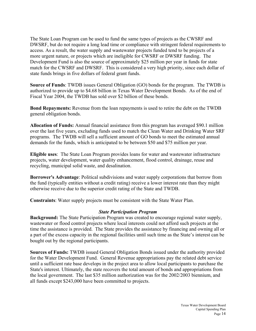The State Loan Program can be used to fund the same types of projects as the CWSRF and DWSRF, but do not require a long lead time or compliance with stringent federal requirements to access. As a result, the water supply and wastewater projects funded tend to be projects of a more urgent nature, or projects which are ineligible for CWSRF or DWSRF funding. The Development Fund is also the source of approximately \$25 million per year in funds for state match for the CWSRF and DWSRF. This is considered a very high priority, since each dollar of state funds brings in five dollars of federal grant funds.

**Source of Funds**: TWDB issues General Obligation (GO) bonds for the program. The TWDB is authorized to provide up to \$4.68 billion in Texas Water Development Bonds. As of the end of Fiscal Year 2004, the TWDB has sold over \$2 billion of these bonds.

**Bond Repayments:** Revenue from the loan repayments is used to retire the debt on the TWDB general obligation bonds.

**Allocation of Funds:** Annual financial assistance from this program has averaged \$90.1 million over the last five years, excluding funds used to match the Clean Water and Drinking Water SRF programs. The TWDB will sell a sufficient amount of GO bonds to meet the estimated annual demands for the funds, which is anticipated to be between \$50 and \$75 million per year.

**Eligible uses**: The State Loan Program provides loans for water and wastewater infrastructure projects, water development, water quality enhancement, flood control, drainage, reuse and recycling, municipal solid waste, and desalination.

**Borrower's Advantage**: Political subdivisions and water supply corporations that borrow from the fund (typically entities without a credit rating) receive a lower interest rate than they might otherwise receive due to the superior credit rating of the State and TWDB.

**Constraints**: Water supply projects must be consistent with the State Water Plan.

#### *State Participation Program*

**Background:** The State Participation Program was created to encourage regional water supply, wastewater or flood control projects where local interests could not afford such projects at the time the assistance is provided. The State provides the assistance by financing and owning all or a part of the excess capacity in the regional facilities until such time as the State's interest can be bought out by the regional participants.

**Sources of Funds:** TWDB issued General Obligation Bonds issued under the authority provided for the Water Development Fund. General Revenue appropriations pay the related debt service until a sufficient rate base develops in the project area to allow local participants to purchase the State's interest. Ultimately, the state recovers the total amount of bonds and appropriations from the local government. The last \$35 million authorization was for the 2002/2003 biennium, and all funds except \$243,000 have been committed to projects.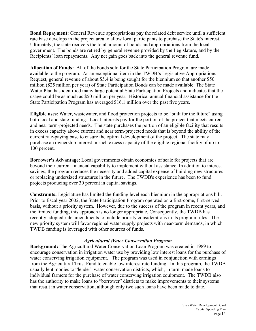**Bond Repayment:** General Revenue appropriations pay the related debt service until a sufficient rate base develops in the project area to allow local participants to purchase the State's interest. Ultimately, the state recovers the total amount of bonds and appropriations from the local government. The bonds are retired by general revenue provided by the Legislature, and by the Recipients' loan repayments. Any net gain goes back into the general revenue fund.

**Allocation of Funds:** All of the bonds sold for the State Participation Program are made available to the program. As an exceptional item in the TWDB's Legislative Appropriations Request, general revenue of about \$5.4 is being sought for the biennium so that another \$50 million (\$25 million per year) of State Participation Bonds can be made available. The State Water Plan has identified many large potential State Participation Projects and indicates that the usage could be as much as \$50 million per year. Historical annual financial assistance for the State Participation Program has averaged \$16.1 million over the past five years.

**Eligible uses**: Water, wastewater, and flood protection projects to be "built for the future" using both local and state funding. Local interests pay for the portion of the project that meets current and near term-projected needs. The state purchases the portion of an eligible facility that results in excess capacity above current and near term-projected needs that is beyond the ability of the current rate-paying base to ensure the optimal development of the project. The state may purchase an ownership interest in such excess capacity of the eligible regional facility of up to 100 percent.

**Borrower's Advantage**: Local governments obtain economies of scale for projects that are beyond their current financial capability to implement without assistance. In addition to interest savings, the program reduces the necessity and added capital expense of building new structures or replacing undersized structures in the future. The TWDB's experience has been to fund projects producing over 30 percent in capital savings.

**Constraints:** Legislature has limited the funding level each biennium in the appropriations bill. Prior to fiscal year 2002, the State Participation Program operated on a first-come, first-served basis, without a priority system. However, due to the success of the program in recent years, and the limited funding, this approach is no longer appropriate. Consequently, the TWDB has recently adopted rule amendments to include priority considerations in its program rules. The new priority system will favor regional water supply projects with near-term demands, in which TWDB funding is leveraged with other sources of funds.

#### *Agricultural Water Conservation Program*

**Background:** The Agricultural Water Conservation Loan Program was created in 1989 to encourage conservation in irrigation water use by providing low interest loans for the purchase of water conserving irrigation equipment. The program was used in conjunction with earnings from the Agricultural Trust Fund to enable low interest rate funding. In this program, the TWDB usually lent monies to "lender" water conservation districts, which, in turn, made loans to individual farmers for the purchase of water conserving irrigation equipment. The TWDB also has the authority to make loans to "borrower" districts to make improvements to their systems that result in water conservation, although only two such loans have been made to date.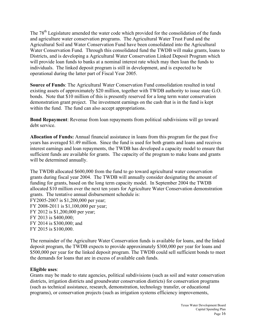The 78<sup>th</sup> Legislature amended the water code which provided for the consolidation of the funds and agriculture water conservation programs. The Agricultural Water Trust Fund and the Agricultural Soil and Water Conservation Fund have been consolidated into the Agricultural Water Conservation Fund. Through this consolidated fund the TWDB will make grants, loans to Districts, and is developing a Agricultural Water Conservation Linked Deposit Program which will provide loan funds to banks at a nominal interest rate which may then loan the funds to individuals. The linked deposit program is still in development, and is expected to be operational during the latter part of Fiscal Year 2005.

**Source of Funds**: The Agricultural Water Conservation Fund consolidation resulted in total existing assets of approximately \$20 million, together with TWDB authority to issue state G.O. bonds. Note that \$10 million of this is presently reserved for a long term water conservation demonstration grant project. The investment earnings on the cash that is in the fund is kept within the fund. The fund can also accept appropriations.

**Bond Repayment**: Revenue from loan repayments from political subdivisions will go toward debt service.

**Allocation of Funds:** Annual financial assistance in loans from this program for the past five years has averaged \$1.49 million. Since the fund is used for both grants and loans and receives interest earnings and loan repayments, the TWDB has developed a capacity model to ensure that sufficient funds are available for grants. The capacity of the program to make loans and grants will be determined annually.

The TWDB allocated \$600,000 from the fund to go toward agricultural water conservation grants during fiscal year 2004. The TWDB will annually consider designating the amount of funding for grants, based on the long term capacity model. In September 2004 the TWDB allocated \$10 million over the next ten years for Agriculture Water Conservation demonstration grants. The tentative annual disbursement schedule is: FY2005-2007 is \$1,200,000 per year;

FY 2008-2011 is \$1,100,000 per year; FY 2012 is \$1,200,000 per year; FY 2013 is \$400,000; FY 2014 is \$300,000; and FY 2015 is \$100,000.

The remainder of the Agriculture Water Conservation funds is available for loans, and the linked deposit program, the TWDB expects to provide approximately \$300,000 per year for loans and \$500,000 per year for the linked deposit program. The TWDB could sell sufficient bonds to meet the demands for loans that are in excess of available cash funds.

#### **Eligible uses**:

Grants may be made to state agencies, political subdivisions (such as soil and water conservation districts, irrigation districts and groundwater conservation districts) for conservation programs (such as technical assistance, research, demonstration, technology transfer, or educational programs), or conservation projects (such as irrigation systems efficiency improvements,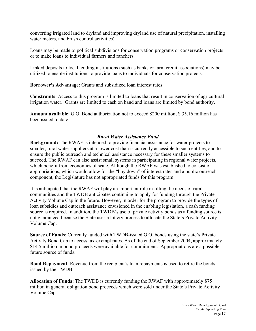converting irrigated land to dryland and improving dryland use of natural precipitation, installing water meters, and brush control activities).

Loans may be made to political subdivisions for conservation programs or conservation projects or to make loans to individual farmers and ranchers.

Linked deposits to local lending institutions (such as banks or farm credit associations) may be utilized to enable institutions to provide loans to individuals for conservation projects.

**Borrower's Advantage**: Grants and subsidized loan interest rates.

**Constraints**: Access to this program is limited to loans that result in conservation of agricultural irrigation water. Grants are limited to cash on hand and loans are limited by bond authority.

**Amount available**: G.O. Bond authorization not to exceed \$200 million; \$ 35.16 million has been issued to date.

#### *Rural Water Assistance Fund*

**Background:** The RWAF is intended to provide financial assistance for water projects to smaller, rural water suppliers at a lower cost than is currently accessible to such entities, and to ensure the public outreach and technical assistance necessary for these smaller systems to succeed. The RWAF can also assist small systems in participating in regional water projects, which benefit from economies of scale. Although the RWAF was established to consist of appropriations, which would allow for the "buy down" of interest rates and a public outreach component, the Legislature has not appropriated funds for this program.

It is anticipated that the RWAF will play an important role in filling the needs of rural communities and the TWDB anticipates continuing to apply for funding through the Private Activity Volume Cap in the future. However, in order for the program to provide the types of loan subsidies and outreach assistance envisioned in the enabling legislation, a cash funding source is required. In addition, the TWDB's use of private activity bonds as a funding source is not guaranteed because the State uses a lottery process to allocate the State's Private Activity Volume Cap.

**Source of Funds**: Currently funded with TWDB-issued G.O. bonds using the state's Private Activity Bond Cap to access tax-exempt rates. As of the end of September 2004, approximately \$14.5 million in bond proceeds were available for commitment. Appropriations are a possible future source of funds.

**Bond Repayment**: Revenue from the recipient's loan repayments is used to retire the bonds issued by the TWDB.

**Allocation of Funds:** The TWDB is currently funding the RWAF with approximately \$75 million in general obligation bond proceeds which were sold under the State's Private Activity Volume Cap.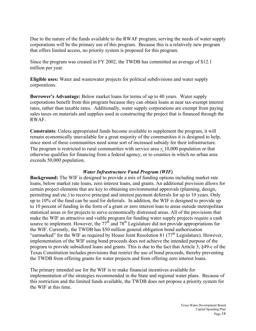Due to the nature of the funds available to the RWAF program, serving the needs of water supply corporations will be the primary use of this program. Because this is a relatively new program that offers limited access, no priority system is proposed for this program.

Since the program was created in FY 2002, the TWDB has committed an average of \$12.1 million per year.

**Eligible uses:** Water and wastewater projects for political subdivisions and water supply corporations.

**Borrower's Advantage:** Below market loans for terms of up to 40 years. Water supply corporations benefit from this program because they can obtain loans at near tax-exempt interest rates, rather than taxable rates. Additionally, water supply corporations are exempt from paying sales taxes on materials and supplies used in constructing the project that is financed through the RWAF.

**Constraints**: Unless appropriated funds become available to supplement the program, it will remain economically unavailable for a great majority of the communities it is designed to help, since most of these communities need some sort of increased subsidy for their infrastructure. The program is restricted to rural communities with service area < 10,000 population or that otherwise qualifies for financing from a federal agency, or to counties in which no urban area exceeds 50,000 population.

#### *Water Infrastructure Fund Program (WIF)*

**Background:** The WIF is designed to provide a mix of funding options including market rate loans, below market rate loans, zero interest loans, and grants. An additional provision allows for certain project elements that are key to obtaining environmental approvals (planning, design, permitting and etc.) to receive principal and interest payment deferrals for up to 10 years. Only up to 10% of the fund can be used for deferrals. In addition, the WIF is designed to provide up to 10 percent of funding in the form of a grant or zero interest loan to areas outside metropolitan statistical areas or for projects to serve economically distressed areas. All of the provisions that make the WIF an attractive and viable program for funding water supply projects require a cash source to implement. However, the  $77<sup>th</sup>$  and  $78<sup>th</sup>$  Legislature did not provide appropriations for the WIF. Currently, the TWDB has \$50 million general obligation bond authorization "earmarked" for the WIF as required by House Joint Resolution 81 (77<sup>th</sup> Legislature). However, implementation of the WIF using bond proceeds does not achieve the intended purpose of the program to provide subsidized loans and grants. This is due to the fact that Article 3, §49-c of the Texas Constitution includes provisions that restrict the use of bond proceeds, thereby preventing the TWDB from offering grants for water projects and from offering zero interest loans.

The primary intended use for the WIF is to make financial incentives available for implementation of the strategies recommended in the State and regional water plans. Because of this restriction and the limited funds available, the TWDB does not propose a priority system for the WIF at this time.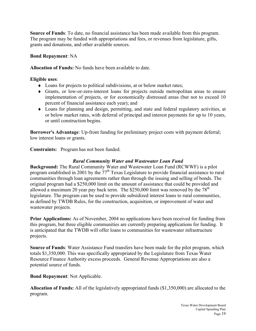**Source of Funds**: To date, no financial assistance has been made available from this program. The program may be funded with appropriations and fees, or revenues from legislature, gifts, grants and donations, and other available sources.

#### **Bond Repayment**: NA

**Allocation of Funds:** No funds have been available to date.

**Eligible uses**:

- ♦ Loans for projects to political subdivisions, at or below market rates;
- ♦ Grants, or low-or-zero-interest loans for projects outside metropolitan areas to ensure implementation of projects, or for economically distressed areas (but not to exceed 10 percent of financial assistance each year); and
- ♦ Loans for planning and design, permitting, and state and federal regulatory activities, at or below market rates, with deferral of principal and interest payments for up to 10 years, or until construction begins.

**Borrower's Advantage**: Up-front funding for preliminary project costs with payment deferral; low interest loans or grants.

**Constraints:**Program has not been funded.

#### *Rural Community Water and Wastewater Loan Fund*

**Background:** The Rural Community Water and Wastewater Loan Fund (RCWWF) is a pilot program established in 2001 by the  $77<sup>th</sup>$  Texas Legislature to provide financial assistance to rural communities through loan agreements rather than through the issuing and selling of bonds. The original program had a \$250,000 limit on the amount of assistance that could be provided and allowed a maximum 20 year pay back term. The  $$250,000$  limit was removed by the  $78<sup>th</sup>$ legislature. The program can be used to provide subsidized interest loans to rural communities, as defined by TWDB Rules, for the construction, acquisition, or improvement of water and wastewater projects.

**Prior Applications:** As of November, 2004 no applications have been received for funding from this program, but three eligible communities are currently preparing applications for funding. It is anticipated that the TWDB will offer loans to communities for wastewater infrastructure projects.

**Source of Funds**: Water Assistance Fund transfers have been made for the pilot program, which totals \$1,350,000. This was specifically appropriated by the Legislature from Texas Water Resource Finance Authority excess proceeds. General Revenue Appropriations are also a potential source of funds.

**Bond Repayment**: Not Applicable.

**Allocation of Funds:** All of the legislatively appropriated funds (\$1,350,000) are allocated to the program.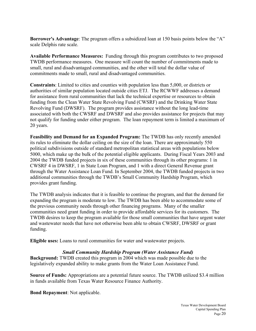**Borrower's Advantage**: The program offers a subsidized loan at 150 basis points below the "A" scale Delphis rate scale.

**Available Performance Measures:** Funding through this program contributes to two proposed TWDB performance measures. One measure will count the number of commitments made to small, rural and disadvantaged communities, and the other will total the dollar value of commitments made to small, rural and disadvantaged communities.

**Constraints**: Limited to cities and counties with population less than 5,000, or districts or authorities of similar population located outside cities ETJ. The RCWWF addresses a demand for assistance from rural communities that lack the technical expertise or resources to obtain funding from the Clean Water State Revolving Fund (CWSRF) and the Drinking Water State Revolving Fund (DWSRF). The program provides assistance without the long lead-time associated with both the CWSRF and DWSRF and also provides assistance for projects that may not qualify for funding under either program. The loan repayment term is limited a maximum of 20 years.

**Feasibility and Demand for an Expanded Program:** The TWDB has only recently amended its rules to eliminate the dollar ceiling on the size of the loan. There are approximately 550 political subdivisions outside of standard metropolitan statistical areas with populations below 5000, which make up the bulk of the potential eligible applicants. During Fiscal Years 2003 and 2004 the TWDB funded projects in six of these communities through its other programs: 1 in CWSRF 4 in DWSRF, 1 in State Loan Program, and 1 with a direct General Revenue grant through the Water Assistance Loan Fund. In September 2004, the TWDB funded projects in two additional communities through the TWDB's Small Community Hardship Program, which provides grant funding.

The TWDB analysis indicates that it is feasible to continue the program, and that the demand for expanding the program is moderate to low. The TWDB has been able to accommodate some of the previous community needs through other financing programs. Many of the smaller communities need grant funding in order to provide affordable services for its customers. The TWDB desires to keep the program available for those small communities that have urgent water and wastewater needs that have not otherwise been able to obtain CWSRF, DWSRF or grant funding.

**Eligible uses:** Loans to rural communities for water and wastewater projects.

#### *Small Community Hardship Program (Water Assistance Fund)*

**Background:** TWDB created this program in 2004 which was made possible due to the legislatively expanded ability to make grants from the Water Loan Assistance Fund.

**Source of Funds:** Appropriations are a potential future source. The TWDB utilized \$3.4 million in funds available from Texas Water Resource Finance Authority.

**Bond Repayment**: Not applicable.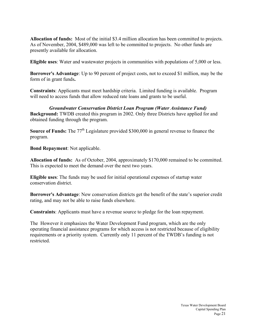**Allocation of funds:** Most of the initial \$3.4 million allocation has been committed to projects. As of November, 2004, \$489,000 was left to be committed to projects. No other funds are presently available for allocation.

**Eligible uses**: Water and wastewater projects in communities with populations of 5,000 or less.

**Borrower's Advantage**: Up to 90 percent of project costs, not to exceed \$1 million, may be the form of in grant funds**.** 

**Constraints**: Applicants must meet hardship criteria. Limited funding is available. Program will need to access funds that allow reduced rate loans and grants to be useful.

*Groundwater Conservation District Loan Program (Water Assistance Fund)*  **Background:** TWDB created this program in 2002. Only three Districts have applied for and obtained funding through the program.

**Source of Funds:** The 77<sup>th</sup> Legislature provided \$300,000 in general revenue to finance the program.

**Bond Repayment**: Not applicable.

**Allocation of funds:** As of October, 2004, approximately \$170,000 remained to be committed. This is expected to meet the demand over the next two years.

**Eligible uses**: The funds may be used for initial operational expenses of startup water conservation district.

**Borrower's Advantage**: New conservation districts get the benefit of the state's superior credit rating, and may not be able to raise funds elsewhere.

**Constraints**: Applicants must have a revenue source to pledge for the loan repayment.

The However it emphasizes the Water Development Fund program, which are the only operating financial assistance programs for which access is not restricted because of eligibility requirements or a priority system. Currently only 11 percent of the TWDB's funding is not restricted.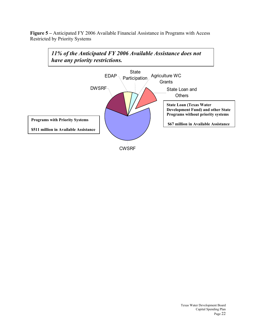**Figure 5 –** Anticipated FY 2006 Available Financial Assistance in Programs with Access Restricted by Priority Systems

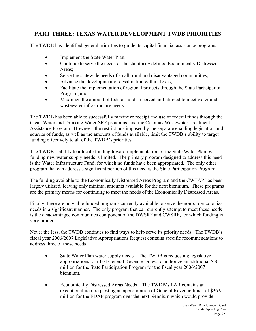# **PART THREE: TEXAS WATER DEVELOPMENT TWDB PRIORITIES**

The TWDB has identified general priorities to guide its capital financial assistance programs.

- Implement the State Water Plan;
- Continue to serve the needs of the statutorily defined Economically Distressed Areas;
- Serve the statewide needs of small, rural and disadvantaged communities;
- Advance the development of desalination within Texas;
- Facilitate the implementation of regional projects through the State Participation Program; and
- Maximize the amount of federal funds received and utilized to meet water and wastewater infrastructure needs.

The TWDB has been able to successfully maximize receipt and use of federal funds through the Clean Water and Drinking Water SRF programs, and the Colonias Wastewater Treatment Assistance Program. However, the restrictions imposed by the separate enabling legislation and sources of funds, as well as the amounts of funds available, limit the TWDB's ability to target funding effectively to all of the TWDB's priorities.

The TWDB's ability to allocate funding toward implementation of the State Water Plan by funding new water supply needs is limited. The primary program designed to address this need is the Water Infrastructure Fund, for which no funds have been appropriated. The only other program that can address a significant portion of this need is the State Participation Program.

The funding available to the Economically Distressed Areas Program and the CWTAP has been largely utilized, leaving only minimal amounts available for the next biennium. These programs are the primary means for continuing to meet the needs of the Economically Distressed Areas.

Finally, there are no viable funded programs currently available to serve the nonborder colonias needs in a significant manner. The only program that can currently attempt to meet these needs is the disadvantaged communities component of the DWSRF and CWSRF, for which funding is very limited.

Never the less, the TWDB continues to find ways to help serve its priority needs. The TWDB's fiscal year 2006/2007 Legislative Appropriations Request contains specific recommendations to address three of these needs.

- State Water Plan water supply needs The TWDB is requesting legislative appropriations to offset General Revenue Draws to authorize an additional \$50 million for the State Participation Program for the fiscal year 2006/2007 biennium.
- Economically Distressed Areas Needs The TWDB's LAR contains an exceptional item requesting an appropriation of General Revenue funds of \$36.9 million for the EDAP program over the next biennium which would provide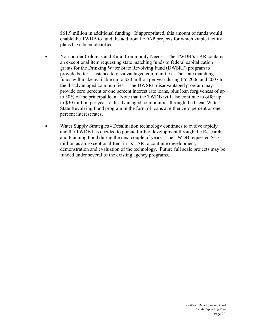\$61.9 million in additional funding. If appropriated, this amount of funds would enable the TWDB to fund the additional EDAP projects for which viable facility plans have been identified.

- Non-border Colonias and Rural Community Needs The TWDB's LAR contains an exceptional item requesting state matching funds to federal capitalization grants for the Drinking Water State Revolving Fund (DWSRF) program to provide better assistance to disadvantaged communities. The state matching funds will make available up to \$20 million per year during FY 2006 and 2007 to the disadvantaged communities. The DWSRF disadvantaged program may provide zero percent or one percent interest rate loans, plus loan forgiveness of up to 30% of the principal loan. Note that the TWDB will also continue to offer up to \$30 million per year to disadvantaged communities through the Clean Water State Revolving Fund program in the form of loans at either zero percent or one percent interest rates.
- Water Supply Strategies Desalination technology continues to evolve rapidly and the TWDB has decided to pursue further development through the Research and Planning Fund during the next couple of years. The TWDB requested \$3.3 million as an Exceptional Item in its LAR to continue development, demonstration and evaluation of the technology. Future full scale projects may be funded under several of the existing agency programs.